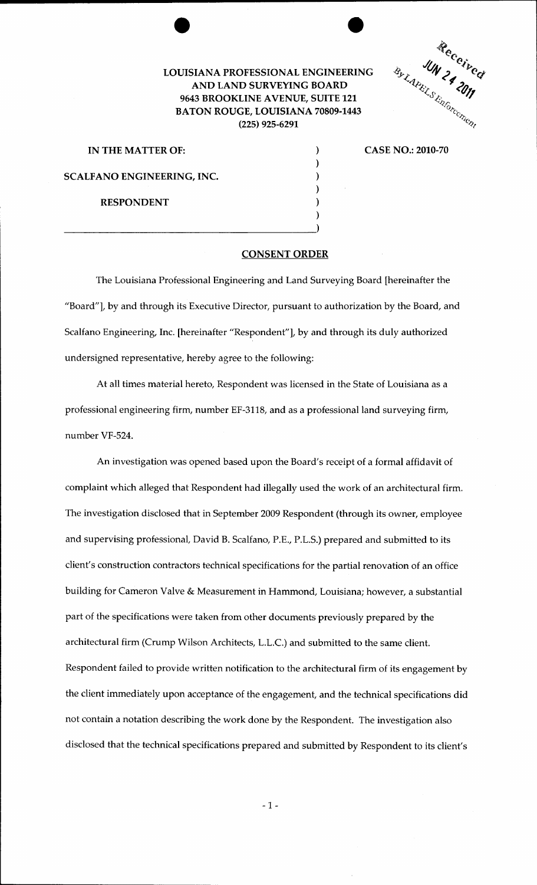## LOUISIANA PROFESSIONAL ENGINEERING AND LAND SURVEYING BOARD 9643 BROOKLINE AVENUE, SUITE 121 BATON ROUGE, LOUISIANA 70809-1443 (225) 925-6291



CASE NO.: 2010-70

IN THE MATTER OF:  $\qquad \qquad$  ) SCALFANO ENGINEERING, INC.  $($ 

RESPONDENT (1)

 $\frac{1}{1}$ 

## CONSENT ORDER

 $\lambda$ 

)

)

The Louisiana Professional Engineering and Land Surveying Board [hereinafter the "Board"], by and through its Executive Director, pursuant to authorization by the Board, and Scalfano Engineering, Inc. [hereinafter "Respondent"], by and through its duly authorized undersigned representative, hereby agree to the following:

At all times material hereto, Respondent was licensed in the State of Louisiana as a professional engineering firm, number EF-3118, and as a professional land surveying firm, number VF-524.

An investigation was opened based upon the Board's receipt of a formal affidavit of complaint which alleged that Respondent had illegally used the work of an architectural firm. The investigation disclosed that in September 2009 Respondent (through its owner, employee and supervising professional, David B. Scalfano, P.E., P.L.S.) prepared and submitted to its client's construction contractors technical specifications for the partial renovation of an office building for Cameron Valve & Measurement in Hammond, Louisiana; however, a substantial part of the specifications were taken from other documents previously prepared by the architectural firm (Crump Wilson Architects, L.L.C.) and submitted to the same client. Respondent failed to provide written notification to the architectural firm of its engagement by the client immediately upon acceptance of the engagement, and the technical specifications did not contain a notation describing the work done by the Respondent. The investigation also disclosed that the technical specifications prepared and submitted by Respondent to its client's

- 1-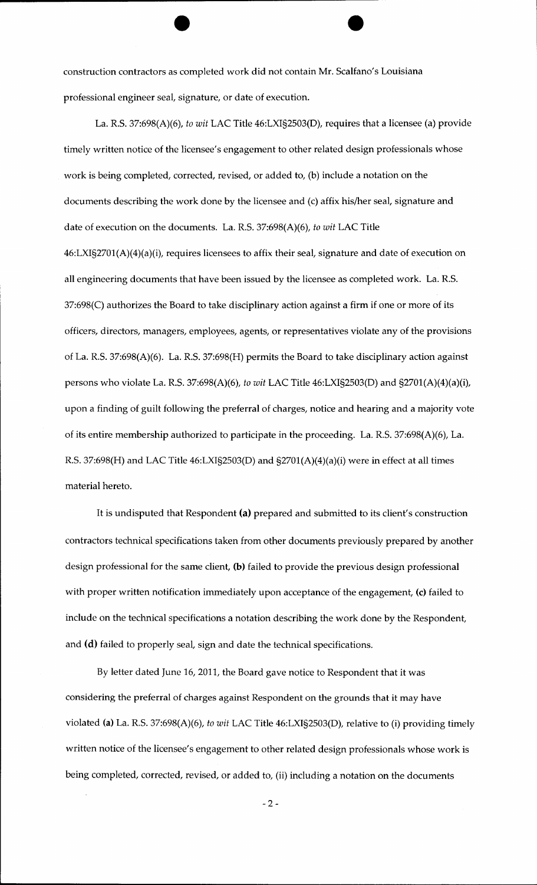construction contractors as completed work did not contain Mr. Scalfano's Louisiana professional engineer seal, signature, or date of execution.

La. R.S. 37:698(A)(6), *to wit* LAC Title 46:LXI§2503(D), requires that a licensee (a) provide timely written notice of the licensee's engagement to other related design professionals whose work is being completed, corrected, revised, or added to, (b) include a notation on the documents describing the work done by the licensee and (c) affix his/her seal, signature and date of execution on the documents. La. R.S. 37:698(A)(6), *to wit* LAC Title 46:LXI§2701(A)(4)(a)(i), requires licensees to affix their seal, signature and date of execution on all engineering documents that have been issued by the licensee as completed work. La. R.S. 37:698(C) authorizes the Board to take disciplinary action against a firm if one or more of its officers, directors, managers, employees, agents, or representatives violate any of the provisions of La. R.S. 37:698(A)(6). La. R.S. 37:698(H) permits the Board to take disciplinary action against persons who violate La. R.S. 37:698(A)(6), *to wit* LAC Title 46:LXI§2503(D) and §2701(A)(4)(a)(i), upon a finding of guilt following the preferral of charges, notice and hearing and a majority vote of its entire membership authorized to participate in the proceeding. La. R.S. 37:698(A)(6), La. R.S. 37:698(H) and LAC Title 46:LXI§2503(D) and §2701(A)(4)(a)(i) were in effect at all times material hereto.

It is undisputed that Respondent (a) prepared and submitted to its client's construction contractors technical specifications taken from other documents previously prepared by another design professional for the same client, (b) failed to provide the previous design professional with proper written notification immediately upon acceptance of the engagement, (c) failed to include on the technical specifications a notation describing the work done by the Respondent, and (d) failed to properly seal, sign and date the technical specifications.

By letter dated June 16, 2011, the Board gave notice to Respondent that it was considering the preferral of charges against Respondent on the grounds that it may have violated (a) La. R.S. 37:698(A)(6), *to wit* LAC Title 46:LXI§2503(D), relative to (i) providing timely written notice of the licensee's engagement to other related design professionals whose work is being completed, corrected, revised, or added to, (ii) including a notation on the documents

-2-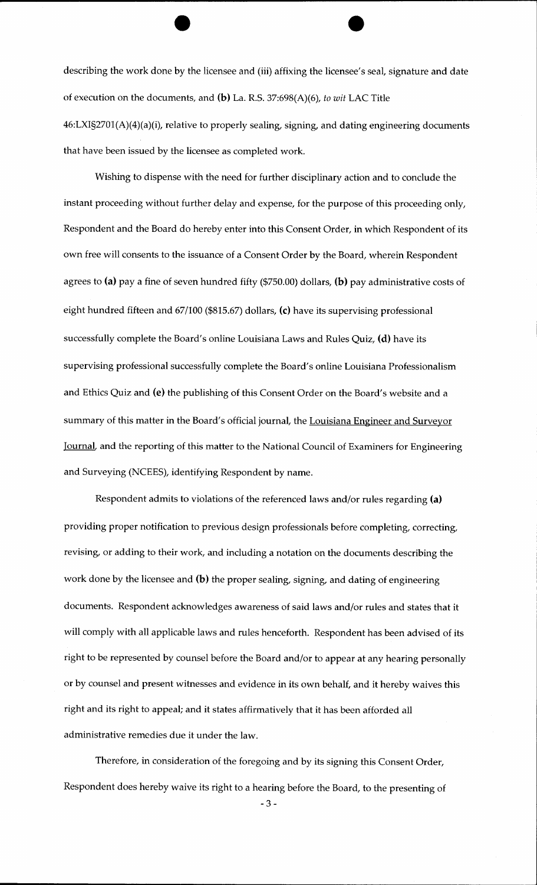describing the work done by the licensee and (iii) affixing the licensee's seal, signature and date of execution on the documents, and (b) La. R.S. 37:698(A)(6), *to wit* LAC Title 46:LXI§2701(A)(4)(a)(i), relative to properly sealing, signing, and dating engineering documents that have been issued by the licensee as completed work.

Wishing to dispense with the need for further disciplinary action and to conclude the instant proceeding without further delay and expense, for the purpose of this proceeding only, Respondent and the Board do hereby enter into this Consent Order, in which Respondent of its own free will consents to the issuance of a Consent Order by the Board, wherein Respondent agrees to (a) pay a fine of seven hundred fifty (\$750.00) dollars, (b) pay administrative costs of eight hundred fifteen and 67/100 (\$815.67) dollars, (c) have its supervising professional successfully complete the Board's online Louisiana Laws and Rules Quiz, (d) have its supervising professional successfully complete the Board's online Louisiana Professionalism and Ethics Quiz and (e) the publishing of this Consent Order on the Board's website and a summary of this matter in the Board's official journal, the Louisiana Engineer and Surveyor Journal, and the reporting of this matter to the National Council of Examiners for Engineering and Surveying (NCEES), identifying Respondent by name.

Respondent admits to violations of the referenced laws and/or rules regarding (a) providing proper notification to previous design professionals before completing, correcting, revising, or adding to their work, and including a notation on the documents describing the work done by the licensee and (b) the proper sealing, signing, and dating of engineering documents. Respondent acknowledges awareness of said laws and/or rules and states that it will comply with all applicable laws and rules henceforth. Respondent has been advised of its right to be represented by counsel before the Board and/or to appear at any hearing personally or by counsel and present witnesses and evidence in its own behalf, and it hereby waives this right and its right to appeal; and it states affirmatively that it has been afforded all administrative remedies due it under the law.

Therefore, in consideration of the foregoing and by its signing this Consent Order, Respondent does hereby waive its right to a hearing before the Board, to the presenting of

-3-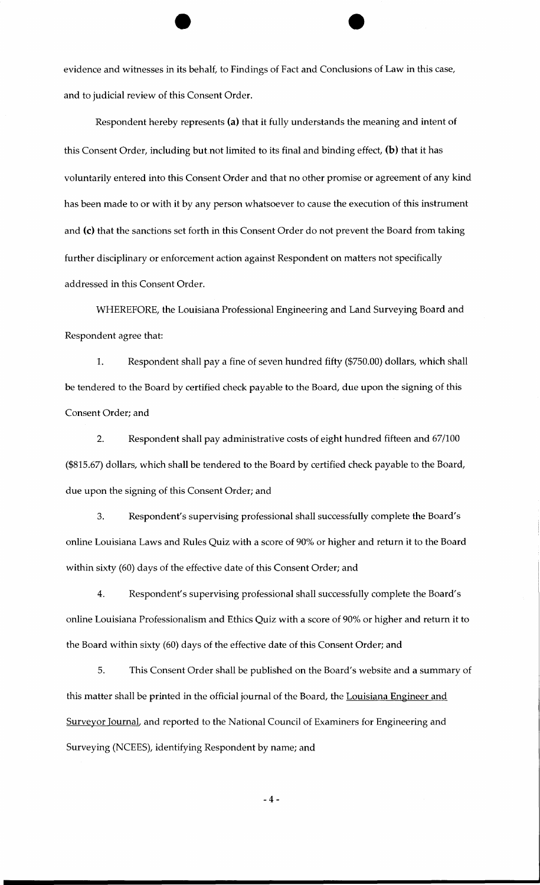evidence and witnesses in its behalf, to Findings of Fact and Conclusions of Law in this case, and to judicial review of this Consent Order.

Respondent hereby represents (a) that it fully understands the meaning and intent of this Consent Order, including but not limited to its final and binding effect,  $(b)$  that it has voluntarily entered into this Consent Order and that no other promise or agreement of any kind has been made to or with it by any person whatsoever to cause the execution of this instrument and (c) that the sanctions set forth in this Consent Order do not prevent the Board from taking further disciplinary or enforcement action against Respondent on matters not specifically addressed in this Consent Order.

WHEREFORE, the Louisiana Professional Engineering and Land Surveying Board and Respondent agree that:

1. Respondent shall pay a fine of seven hundred fifty (\$750.00) dollars, which shall be tendered to the Board by certified check payable to the Board, due upon the signing of this Consent Order; and

2. Respondent shall pay administrative costs of eight hundred fifteen and 67/100 (\$815.67) dollars, which shall be tendered to the Board by certified check payable to the Board, due upon the signing of this Consent Order; and

3. Respondent's supervising professional shall successfully complete the Board's online Louisiana Laws and Rules Quiz with a score of 90% or higher and return it to the Board within sixty (60) days of the effective date of this Consent Order; and

4. Respondent's supervising professional shall successfully complete the Board's online Louisiana Professionalism and Ethics Quiz with a score of 90% or higher and return it to the Board within sixty (60) days of the effective date of this Consent Order; and

5. This Consent Order shall be published on the Board's website and a summary of this matter shall be printed in the official journal of the Board, the Louisiana Engineer and Surveyor Journal, and reported to the National Council of Examiners for Engineering and Surveying (NCEES), identifying Respondent by name; and

-4-